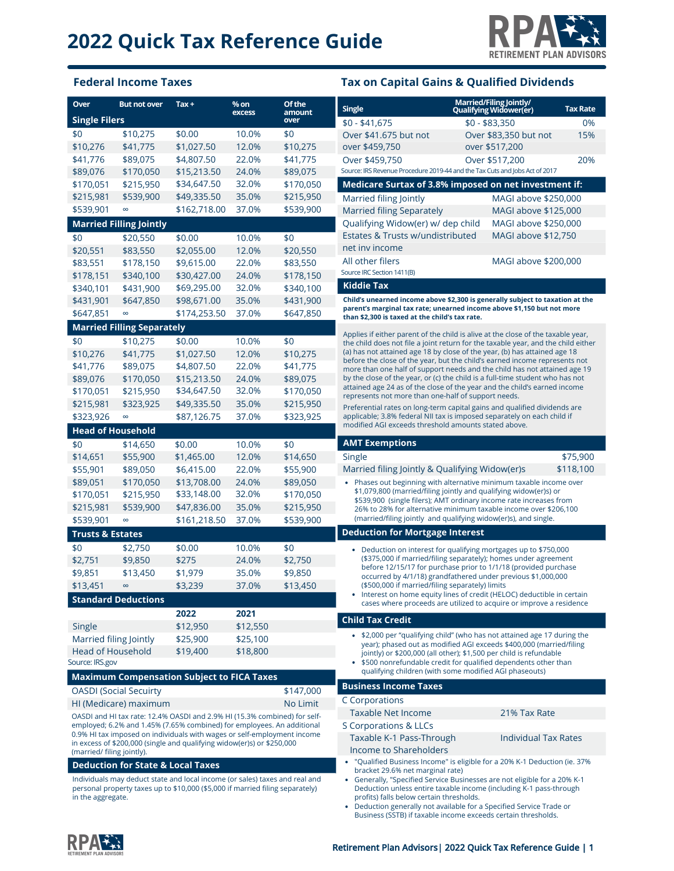

### **Federal Income Taxes Tax on Capital Gains & Qualified Dividends**

| Over                                                                                                                                              | <b>But not over</b>                          | Tax +                                                                         | $%$ on                                                                                               | Of the         | <b>Single</b>                                                                                                                                                         | Married/Filing Jointly/<br>Qualifying Widower(er)                                                                                              | <b>Tax Rate</b> |
|---------------------------------------------------------------------------------------------------------------------------------------------------|----------------------------------------------|-------------------------------------------------------------------------------|------------------------------------------------------------------------------------------------------|----------------|-----------------------------------------------------------------------------------------------------------------------------------------------------------------------|------------------------------------------------------------------------------------------------------------------------------------------------|-----------------|
| <b>Single Filers</b>                                                                                                                              |                                              |                                                                               | excess                                                                                               | amount<br>over | $$0 - $41,675$                                                                                                                                                        | $$0 - $83.350$                                                                                                                                 | 0%              |
| \$0                                                                                                                                               | \$10,275                                     | \$0.00                                                                        | 10.0%                                                                                                | \$0            | Over \$41.675 but not                                                                                                                                                 | Over \$83,350 but not                                                                                                                          | 15%             |
| \$10,276                                                                                                                                          | \$41,775                                     | \$1,027.50                                                                    | 12.0%                                                                                                | \$10,275       | over \$459,750                                                                                                                                                        | over \$517,200                                                                                                                                 |                 |
| \$41,776                                                                                                                                          | \$89,075                                     | \$4,807.50                                                                    | 22.0%                                                                                                | \$41,775       | Over \$459,750                                                                                                                                                        | Over \$517,200                                                                                                                                 | 20%             |
| \$89,076                                                                                                                                          | \$170,050                                    | \$15,213.50                                                                   | 24.0%                                                                                                | \$89,075       | Source: IRS Revenue Procedure 2019-44 and the Tax Cuts and Jobs Act of 2017                                                                                           |                                                                                                                                                |                 |
| \$170,051                                                                                                                                         | \$215,950                                    | \$34,647.50                                                                   | 32.0%                                                                                                | \$170,050      | Medicare Surtax of 3.8% imposed on net investment if:                                                                                                                 |                                                                                                                                                |                 |
| \$215,981                                                                                                                                         | \$539,900                                    | \$49,335.50                                                                   | 35.0%                                                                                                | \$215,950      | Married filing Jointly                                                                                                                                                | MAGI above \$250,000                                                                                                                           |                 |
| \$539,901                                                                                                                                         | $\infty$                                     | \$162,718.00                                                                  | 37.0%                                                                                                | \$539,900      | <b>Married filing Separately</b>                                                                                                                                      | MAGI above \$125,000                                                                                                                           |                 |
|                                                                                                                                                   | <b>Married Filling Jointly</b>               |                                                                               |                                                                                                      |                | Qualifying Widow(er) w/ dep child                                                                                                                                     | MAGI above \$250,000                                                                                                                           |                 |
| \$0                                                                                                                                               | \$20,550                                     | \$0.00                                                                        | 10.0%                                                                                                | \$0            | Estates & Trusts w/undistributed                                                                                                                                      | MAGI above \$12,750                                                                                                                            |                 |
| \$20,551                                                                                                                                          | \$83,550                                     | \$2,055.00                                                                    | 12.0%                                                                                                | \$20,550       | net inv income                                                                                                                                                        |                                                                                                                                                |                 |
| \$83,551                                                                                                                                          | \$178,150                                    | \$9,615.00                                                                    | 22.0%                                                                                                | \$83,550       | All other filers                                                                                                                                                      | MAGI above \$200,000                                                                                                                           |                 |
| \$178,151                                                                                                                                         | \$340,100                                    | \$30,427.00                                                                   | 24.0%                                                                                                | \$178,150      | Source IRC Section 1411(B)                                                                                                                                            |                                                                                                                                                |                 |
| \$340,101                                                                                                                                         | \$431,900                                    | \$69,295.00                                                                   | 32.0%                                                                                                | \$340,100      | <b>Kiddie Tax</b>                                                                                                                                                     |                                                                                                                                                |                 |
| \$431,901                                                                                                                                         | \$647,850                                    | \$98,671.00                                                                   | 35.0%                                                                                                | \$431,900      | Child's unearned income above \$2,300 is generally subject to taxation at the                                                                                         |                                                                                                                                                |                 |
| \$647,851                                                                                                                                         | $\infty$                                     | \$174,253.50                                                                  | 37.0%                                                                                                | \$647,850      | parent's marginal tax rate; unearned income above \$1,150 but not more<br>than \$2,300 is taxed at the child's tax rate.                                              |                                                                                                                                                |                 |
|                                                                                                                                                   | <b>Married Filling Separately</b>            |                                                                               |                                                                                                      |                |                                                                                                                                                                       |                                                                                                                                                |                 |
| \$0                                                                                                                                               | \$10,275                                     | \$0.00                                                                        | 10.0%                                                                                                | \$0            | Applies if either parent of the child is alive at the close of the taxable year,<br>the child does not file a joint return for the taxable year, and the child either |                                                                                                                                                |                 |
| \$10,276                                                                                                                                          | \$41,775                                     | \$1,027.50                                                                    | 12.0%                                                                                                | \$10,275       | (a) has not attained age 18 by close of the year, (b) has attained age 18                                                                                             |                                                                                                                                                |                 |
| \$41,776                                                                                                                                          | \$89,075                                     | \$4,807.50                                                                    | 22.0%                                                                                                | \$41,775       | before the close of the year, but the child's earned income represents not<br>more than one half of support needs and the child has not attained age 19               |                                                                                                                                                |                 |
| \$89,076                                                                                                                                          | \$170,050                                    | \$15,213.50                                                                   | 24.0%                                                                                                | \$89,075       | by the close of the year, or (c) the child is a full-time student who has not                                                                                         |                                                                                                                                                |                 |
| \$170,051                                                                                                                                         | \$215,950                                    | \$34,647.50                                                                   | 32.0%                                                                                                | \$170,050      | attained age 24 as of the close of the year and the child's earned income                                                                                             |                                                                                                                                                |                 |
| \$215,981                                                                                                                                         | \$323,925                                    | \$49,335.50                                                                   | 35.0%                                                                                                | \$215,950      | represents not more than one-half of support needs.<br>Preferential rates on long-term capital gains and qualified dividends are                                      |                                                                                                                                                |                 |
| \$323,926                                                                                                                                         | $\infty$                                     | \$87,126.75                                                                   | 37.0%                                                                                                | \$323,925      | applicable; 3.8% federal NII tax is imposed separately on each child if                                                                                               |                                                                                                                                                |                 |
| <b>Head of Household</b>                                                                                                                          |                                              |                                                                               |                                                                                                      |                | modified AGI exceeds threshold amounts stated above.                                                                                                                  |                                                                                                                                                |                 |
| \$0                                                                                                                                               | \$14,650                                     | \$0.00                                                                        | 10.0%                                                                                                | \$0            | <b>AMT Exemptions</b>                                                                                                                                                 |                                                                                                                                                |                 |
| \$14,651                                                                                                                                          | \$55,900                                     | \$1,465.00                                                                    | 12.0%                                                                                                | \$14,650       | Single                                                                                                                                                                |                                                                                                                                                | \$75,900        |
| \$55,901                                                                                                                                          | \$89,050                                     | \$6,415.00                                                                    | 22.0%                                                                                                | \$55,900       | Married filing Jointly & Qualifying Widow(er)s                                                                                                                        |                                                                                                                                                | \$118,100       |
| \$89,051                                                                                                                                          | \$170,050                                    | \$13,708.00                                                                   | 24.0%                                                                                                | \$89,050       | • Phases out beginning with alternative minimum taxable income over                                                                                                   |                                                                                                                                                |                 |
| \$170,051                                                                                                                                         | \$215,950                                    | \$33,148.00                                                                   | 32.0%                                                                                                | \$170,050      |                                                                                                                                                                       | \$1,079,800 (married/filing jointly and qualifying widow(er)s) or<br>\$539,900 (single filers); AMT ordinary income rate increases from        |                 |
| \$215,981                                                                                                                                         | \$539,900                                    | \$47,836.00                                                                   | 35.0%                                                                                                | \$215,950      |                                                                                                                                                                       | 26% to 28% for alternative minimum taxable income over \$206,100                                                                               |                 |
| \$539,901                                                                                                                                         | $\infty$                                     | \$161,218.50                                                                  | 37.0%                                                                                                | \$539,900      |                                                                                                                                                                       | (married/filing jointly and qualifying widow(er)s), and single.                                                                                |                 |
| <b>Trusts &amp; Estates</b>                                                                                                                       |                                              |                                                                               |                                                                                                      |                | <b>Deduction for Mortgage Interest</b>                                                                                                                                |                                                                                                                                                |                 |
| \$0                                                                                                                                               | \$2,750                                      | \$0.00                                                                        | 10.0%                                                                                                | \$0            |                                                                                                                                                                       | • Deduction on interest for qualifying mortgages up to \$750,000                                                                               |                 |
| \$2,751                                                                                                                                           | \$9,850                                      | \$275                                                                         | 24.0%                                                                                                | \$2,750        |                                                                                                                                                                       | (\$375,000 if married/filing separately); homes under agreement                                                                                |                 |
| \$9,851                                                                                                                                           | \$13,450                                     | \$1,979                                                                       | 35.0%                                                                                                | \$9,850        |                                                                                                                                                                       | before 12/15/17 for purchase prior to 1/1/18 (provided purchase<br>occurred by 4/1/18) grandfathered under previous \$1,000,000                |                 |
| \$13,451                                                                                                                                          | $\infty$                                     | \$3,239                                                                       | 37.0%                                                                                                | \$13,450       | (\$500,000 if married/filing separately) limits                                                                                                                       |                                                                                                                                                |                 |
|                                                                                                                                                   | <b>Standard Deductions</b>                   |                                                                               |                                                                                                      |                |                                                                                                                                                                       | • Interest on home equity lines of credit (HELOC) deductible in certain<br>cases where proceeds are utilized to acquire or improve a residence |                 |
|                                                                                                                                                   |                                              | 2022                                                                          | 2021                                                                                                 |                |                                                                                                                                                                       |                                                                                                                                                |                 |
| Single                                                                                                                                            |                                              | \$12,950                                                                      | \$12,550                                                                                             |                | <b>Child Tax Credit</b>                                                                                                                                               |                                                                                                                                                |                 |
| Married filing Jointly                                                                                                                            |                                              | \$25,900                                                                      | \$25,100                                                                                             |                |                                                                                                                                                                       | • \$2,000 per "qualifying child" (who has not attained age 17 during the                                                                       |                 |
| <b>Head of Household</b>                                                                                                                          |                                              | \$19,400                                                                      | \$18,800                                                                                             |                |                                                                                                                                                                       | year); phased out as modified AGI exceeds \$400,000 (married/filing<br>jointly) or \$200,000 (all other); \$1,500 per child is refundable      |                 |
| Source: IRS.gov                                                                                                                                   |                                              |                                                                               |                                                                                                      |                |                                                                                                                                                                       | • \$500 nonrefundable credit for qualified dependents other than                                                                               |                 |
|                                                                                                                                                   |                                              | <b>Maximum Compensation Subject to FICA Taxes</b>                             |                                                                                                      |                |                                                                                                                                                                       | qualifying children (with some modified AGI phaseouts)                                                                                         |                 |
|                                                                                                                                                   | <b>OASDI</b> (Social Secuirty                |                                                                               |                                                                                                      | \$147,000      | <b>Business Income Taxes</b>                                                                                                                                          |                                                                                                                                                |                 |
|                                                                                                                                                   | HI (Medicare) maximum                        |                                                                               |                                                                                                      | No Limit       | C Corporations                                                                                                                                                        |                                                                                                                                                |                 |
|                                                                                                                                                   |                                              | OASDI and HI tax rate: 12.4% OASDI and 2.9% HI (15.3% combined) for self-     |                                                                                                      |                | Taxable Net Income                                                                                                                                                    | 21% Tax Rate                                                                                                                                   |                 |
|                                                                                                                                                   |                                              | employed; 6.2% and 1.45% (7.65% combined) for employees. An additional        |                                                                                                      |                | S Corporations & LLCs                                                                                                                                                 |                                                                                                                                                |                 |
| 0.9% HI tax imposed on individuals with wages or self-employment income<br>in excess of \$200,000 (single and qualifying widow(er)s) or \$250,000 |                                              |                                                                               | Taxable K-1 Pass-Through<br><b>Individual Tax Rates</b>                                              |                |                                                                                                                                                                       |                                                                                                                                                |                 |
| (married/ filing jointly).                                                                                                                        |                                              |                                                                               | Income to Shareholders<br>• "Qualified Business Income" is eligible for a 20% K-1 Deduction (ie. 37% |                |                                                                                                                                                                       |                                                                                                                                                |                 |
|                                                                                                                                                   | <b>Deduction for State &amp; Local Taxes</b> |                                                                               |                                                                                                      |                | bracket 29.6% net marginal rate)                                                                                                                                      |                                                                                                                                                |                 |
|                                                                                                                                                   |                                              | Individuals may deduct state and local income (or sales) taxes and real and   |                                                                                                      |                | • Generally, "Specified Service Businesses are not eligible for a 20% K-1                                                                                             |                                                                                                                                                |                 |
| in the aggregate.                                                                                                                                 |                                              | personal property taxes up to \$10,000 (\$5,000 if married filing separately) |                                                                                                      |                | profits) falls below certain thresholds.                                                                                                                              | Deduction unless entire taxable income (including K-1 pass-through                                                                             |                 |
|                                                                                                                                                   |                                              |                                                                               |                                                                                                      |                | • Deduction generally not available for a Specified Service Trade or                                                                                                  |                                                                                                                                                |                 |

RPAE

Business (SSTB) if taxable income exceeds certain thresholds.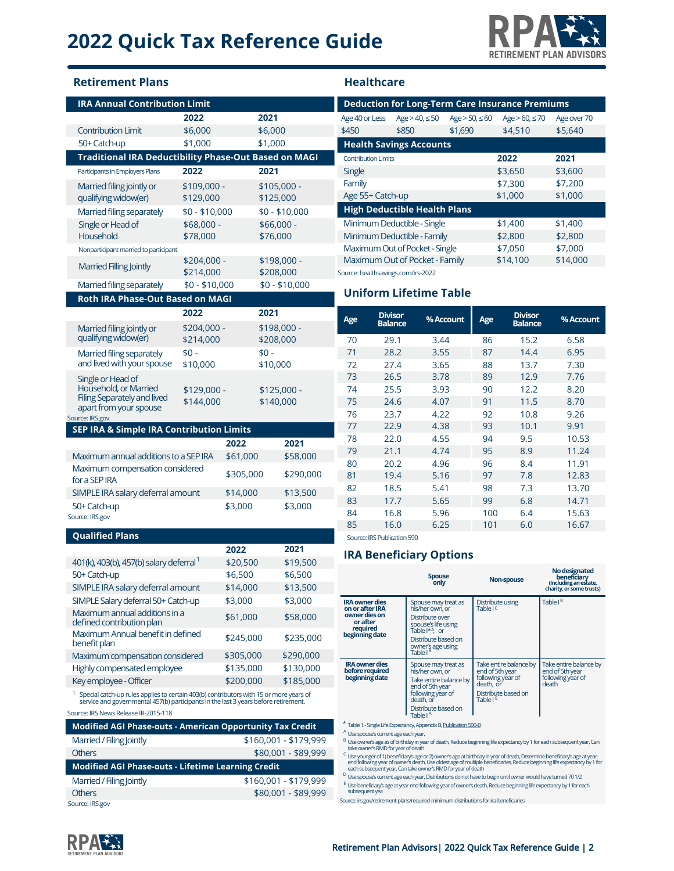# **2022 Quick Tax Reference Guide**



# **IRA Annual Contribution Limit Retirement Plans Healthcare**

| <u>UNU IDULIUN LINIIL</u>                                                                                                                                                                  | 2022                     |                     | 2021                     |                       |
|--------------------------------------------------------------------------------------------------------------------------------------------------------------------------------------------|--------------------------|---------------------|--------------------------|-----------------------|
| <b>Contribution Limit</b>                                                                                                                                                                  | \$6,000                  |                     | \$6,000                  |                       |
| 50+ Catch-up                                                                                                                                                                               | \$1,000                  |                     | \$1,000                  |                       |
| <b>Traditional IRA Deductibility Phase-Out Based on MAGI</b>                                                                                                                               |                          |                     |                          |                       |
| Participants in Employers Plans                                                                                                                                                            | 2022                     |                     | 2021                     |                       |
| Married filing jointly or                                                                                                                                                                  | \$109,000 -              |                     | \$105,000 -              |                       |
| qualifying widow(er)                                                                                                                                                                       | \$129,000                |                     | \$125,000                |                       |
| Married filing separately                                                                                                                                                                  | $$0 - $10,000$           |                     |                          | $$0 - $10,000$        |
| Single or Head of                                                                                                                                                                          | \$68,000 -               |                     | \$66,000 -               |                       |
| Household                                                                                                                                                                                  | \$78,000                 |                     | \$76,000                 |                       |
| Nonparticipant married to participant                                                                                                                                                      |                          |                     |                          |                       |
| Married Filling Jointly                                                                                                                                                                    | \$204,000 -<br>\$214,000 |                     | \$198,000 -<br>\$208,000 |                       |
| Married filing separately                                                                                                                                                                  | $$0 - $10,000$           |                     |                          | $$0 - $10,000$        |
| Roth IRA Phase-Out Based on MAGI                                                                                                                                                           |                          |                     |                          |                       |
|                                                                                                                                                                                            | 2022                     |                     | 2021                     |                       |
| Married filing jointly or                                                                                                                                                                  | \$204,000 -              |                     | \$198,000 -              |                       |
| qualifying widow(er)                                                                                                                                                                       | \$214,000                |                     | \$208,000                |                       |
| Married filing separately                                                                                                                                                                  | $$0 -$                   |                     | $$0 -$                   |                       |
| and lived with your spouse                                                                                                                                                                 | \$10,000                 |                     | \$10,000                 |                       |
| Single or Head of                                                                                                                                                                          |                          |                     |                          |                       |
| Household, or Married<br>Filing Separately and lived                                                                                                                                       | \$129,000 -              |                     | \$125,000 -              |                       |
| apart from your spouse                                                                                                                                                                     | \$144,000                |                     | \$140,000                |                       |
| Source: IRS.gov<br>SEP IRA & Simple IRA Contribution Limits                                                                                                                                |                          |                     |                          |                       |
|                                                                                                                                                                                            |                          | 2022                |                          | 2021                  |
| Maximum annual additions to a SEP IRA                                                                                                                                                      |                          | \$61,000            |                          | \$58,000              |
| Maximum compensation considered                                                                                                                                                            |                          |                     |                          |                       |
| for a SEP IRA                                                                                                                                                                              |                          | \$305,000           |                          | \$290,000             |
| SIMPLE IRA salary deferral amount                                                                                                                                                          |                          | \$14,000            |                          | \$13,500              |
| 50+ Catch-up<br>Source: IRS.gov                                                                                                                                                            |                          | \$3,000             |                          | \$3,000               |
|                                                                                                                                                                                            |                          |                     |                          |                       |
| <b>Qualified Plans</b>                                                                                                                                                                     |                          |                     |                          |                       |
|                                                                                                                                                                                            |                          | 2022                |                          | 2021                  |
| 401(k), 403(b), 457(b) salary deferral <sup>1</sup>                                                                                                                                        |                          | \$20,500            |                          | \$19,500              |
| 50+ Catch-up                                                                                                                                                                               |                          | \$6,500<br>\$14,000 |                          | \$6,500<br>\$13,500   |
| SIMPLE IRA salary deferral amount<br>SIMPLE Salary deferral 50+ Catch-up                                                                                                                   |                          | \$3,000             |                          | \$3,000               |
| Maximum annual additions in a                                                                                                                                                              |                          |                     |                          |                       |
| defined contribution plan                                                                                                                                                                  |                          | \$61,000            |                          | \$58,000              |
| Maximum Annual benefit in defined<br>benefit plan                                                                                                                                          |                          | \$245,000           |                          | \$235,000             |
| Maximum compensation considered                                                                                                                                                            |                          | \$305,000           |                          | \$290,000             |
| Highly compensated employee                                                                                                                                                                |                          | \$135,000           |                          | \$130,000             |
| Key employee - Officer                                                                                                                                                                     |                          | \$200,000           |                          | \$185,000             |
| <sup>1</sup> Special catch-up rules applies to certain 403(b) contributors with 15 or more years of<br>service and governmental 457(b) participants in the last 3 years before retirement. |                          |                     |                          |                       |
| Source: IRS News Release IR-2015-118                                                                                                                                                       |                          |                     |                          |                       |
| Modified AGI Phase-outs - American Opportunity Tax Credit                                                                                                                                  |                          |                     |                          |                       |
| Married / Filing Jointly<br><b>Others</b>                                                                                                                                                  |                          |                     |                          | \$160,001 - \$179,999 |
| Modified AGI Phase-outs - Lifetime Learning Credit                                                                                                                                         |                          |                     |                          | \$80,001 - \$89,999   |
| Married / Filing Jointly                                                                                                                                                                   |                          |                     |                          | \$160,001 - \$179,999 |
|                                                                                                                                                                                            |                          |                     |                          |                       |

Others \$80,001 - \$89,999

| <b>Deduction for Long-Term Care Insurance Premiums</b> |                                |                |                |             |  |  |  |
|--------------------------------------------------------|--------------------------------|----------------|----------------|-------------|--|--|--|
| Age 40 or Less                                         | Age > 40, ≤ 50                 | Age > 50, ≤ 60 | Age > 60, ≤ 70 | Age over 70 |  |  |  |
| \$450                                                  | \$850                          | \$1,690        | \$4,510        | \$5,640     |  |  |  |
|                                                        | <b>Health Savings Accounts</b> |                |                |             |  |  |  |
| <b>Contribution Limits</b>                             |                                |                | 2022           | 2021        |  |  |  |
| Single                                                 |                                |                | \$3,650        | \$3,600     |  |  |  |
| Family                                                 |                                |                | \$7,300        | \$7,200     |  |  |  |
| Age 55+ Catch-up                                       |                                |                | \$1,000        | \$1,000     |  |  |  |
| <b>High Deductible Health Plans</b>                    |                                |                |                |             |  |  |  |
|                                                        | Minimum Deductible - Single    |                | \$1,400        | \$1,400     |  |  |  |
|                                                        | Minimum Deductible - Family    |                | \$2,800        | \$2,800     |  |  |  |
|                                                        | Maximum Out of Pocket - Single |                | \$7,050        | \$7,000     |  |  |  |
|                                                        | Maximum Out of Pocket - Family |                | \$14,100       | \$14,000    |  |  |  |
| Source: healthsavings.com/irs-2022                     |                                |                |                |             |  |  |  |

## **Uniform Lifetime Table**

| <b>Divisor</b><br><b>Balance</b> | % Account | Age | <b>Divisor</b><br><b>Balance</b> | % Account |
|----------------------------------|-----------|-----|----------------------------------|-----------|
| 29.1                             | 3.44      | 86  | 15.2                             | 6.58      |
| 28.2                             | 3.55      | 87  | 14.4                             | 6.95      |
| 27.4                             | 3.65      | 88  | 13.7                             | 7.30      |
| 26.5                             | 3.78      | 89  | 12.9                             | 7.76      |
| 25.5                             | 3.93      | 90  | 12.2                             | 8.20      |
| 24.6                             | 4.07      | 91  | 11.5                             | 8.70      |
| 23.7                             | 4.22      | 92  | 10.8                             | 9.26      |
| 22.9                             | 4.38      | 93  | 10.1                             | 9.91      |
| 22.0                             | 4.55      | 94  | 9.5                              | 10.53     |
| 21.1                             | 4.74      | 95  | 8.9                              | 11.24     |
| 20.2                             | 4.96      | 96  | 8.4                              | 11.91     |
| 19.4                             | 5.16      | 97  | 7.8                              | 12.83     |
| 18.5                             | 5.41      | 98  | 7.3                              | 13.70     |
| 17.7                             | 5.65      | 99  | 6.8                              | 14.71     |
| 16.8                             | 5.96      | 100 | 6.4                              | 15.63     |
| 16.0                             | 6.25      | 101 | 6.0                              | 16.67     |
|                                  |           |     |                                  |           |

Source: IRS Publication 590

## **IRA Beneficiary Options**

|                                                                                                     | <b>Spouse</b><br>only                                                                                                                                                | Non-spouse                                                                                                      | No designated<br>beneficiary<br>(Including an estate,<br>charity, or some trusts) |
|-----------------------------------------------------------------------------------------------------|----------------------------------------------------------------------------------------------------------------------------------------------------------------------|-----------------------------------------------------------------------------------------------------------------|-----------------------------------------------------------------------------------|
| <b>IRA owner dies</b><br>on or after IRA<br>owner dies on<br>or after<br>required<br>beginning date | Spouse may treat as<br>his/her own, or<br>Distribute over<br>spouse's life using<br>Table I*A or<br>Distribute based on<br>owner's age using<br>Table I <sup>B</sup> | Distribute using<br>Table I <sup>C</sup>                                                                        | Table I <sup>B</sup>                                                              |
| <b>IRA owner dies</b><br>before required<br>beginning date                                          | Spouse may treat as<br>his/her own, or<br>Take entire balance by<br>end of 5th year<br>following year of<br>death, or<br>Distribute based on<br>Table I <sup>A</sup> | Take entire balance by<br>end of 5th year<br>following year of<br>death, or<br>Distribute based on<br>Table   E | Take entire balance by<br>end of 5th year<br>following year of<br>death           |

Table 1 - Single Life Expectancy, Appendix B, [Publication 590-B](https://www.irs.gov/publications/p590b) \*

<sup>A</sup> Use spouse's current age each year,

<sup>B</sup> Use owner's age as of birthday in year of death, Reduce beginning life expectancy by 1 for each subsequent year, Can<br>take owner's RMD for year of death

Use younger of 1) beneficiary's age or 2) owner's age at birthday in year of death, Determine beneficiary's age at year-<br>end following year of owner's death, Use oldest age of multiple beneficiaries, Reduce beginning life C <sub>LI</sub>

<sup>D</sup> Use spouse's current age each year, Distributions do not have to begin until owner would have turned 70 1/2 <sup>E</sup> Use beneficiary's age at year-end following year of owner's death, Reduce beginning life expectancy by 1 for each<br>subsequent yea

Source: irs.gov/retirement-plans/required-minimum-distributions-for-ira-beneficiaries



Source: IRS.gov